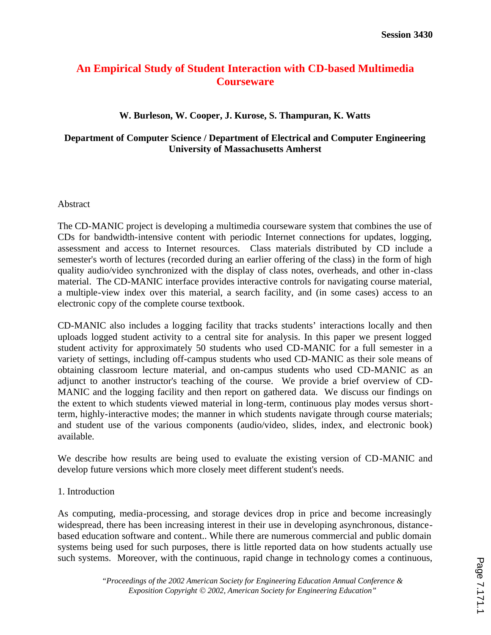# **An Empirical Study of Student Interaction with CD-based Multimedia Courseware**

### **W. Burleson, W. Cooper, J. Kurose, S. Thampuran, K. Watts**

### **Department of Computer Science / Department of Electrical and Computer Engineering University of Massachusetts Amherst**

#### Abstract

The CD-MANIC project is developing a multimedia courseware system that combines the use of CDs for bandwidth-intensive content with periodic Internet connections for updates, logging, assessment and access to Internet resources. Class materials distributed by CD include a semester's worth of lectures (recorded during an earlier offering of the class) in the form of high quality audio/video synchronized with the display of class notes, overheads, and other in-class material. The CD-MANIC interface provides interactive controls for navigating course material, a multiple-view index over this material, a search facility, and (in some cases) access to an electronic copy of the complete course textbook.

CD-MANIC also includes a logging facility that tracks students' interactions locally and then uploads logged student activity to a central site for analysis. In this paper we present logged student activity for approximately 50 students who used CD-MANIC for a full semester in a variety of settings, including off-campus students who used CD-MANIC as their sole means of obtaining classroom lecture material, and on-campus students who used CD-MANIC as an adjunct to another instructor's teaching of the course. We provide a brief overview of CD-MANIC and the logging facility and then report on gathered data. We discuss our findings on the extent to which students viewed material in long-term, continuous play modes versus shortterm, highly-interactive modes; the manner in which students navigate through course materials; and student use of the various components (audio/video, slides, index, and electronic book) available.

We describe how results are being used to evaluate the existing version of CD-MANIC and develop future versions which more closely meet different student's needs.

### 1. Introduction

As computing, media-processing, and storage devices drop in price and become increasingly widespread, there has been increasing interest in their use in developing asynchronous, distancebased education software and content.. While there are numerous commercial and public domain systems being used for such purposes, there is little reported data on how students actually use such systems. Moreover, with the continuous, rapid change in technology comes a continuous,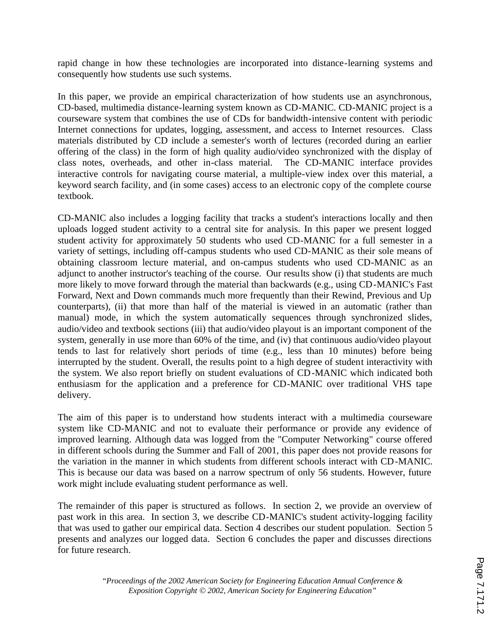rapid change in how these technologies are incorporated into distance-learning systems and consequently how students use such systems.

In this paper, we provide an empirical characterization of how students use an asynchronous, CD-based, multimedia distance-learning system known as CD-MANIC. CD-MANIC project is a courseware system that combines the use of CDs for bandwidth-intensive content with periodic Internet connections for updates, logging, assessment, and access to Internet resources. Class materials distributed by CD include a semester's worth of lectures (recorded during an earlier offering of the class) in the form of high quality audio/video synchronized with the display of class notes, overheads, and other in-class material. The CD-MANIC interface provides interactive controls for navigating course material, a multiple-view index over this material, a keyword search facility, and (in some cases) access to an electronic copy of the complete course textbook.

CD-MANIC also includes a logging facility that tracks a student's interactions locally and then uploads logged student activity to a central site for analysis. In this paper we present logged student activity for approximately 50 students who used CD-MANIC for a full semester in a variety of settings, including off-campus students who used CD-MANIC as their sole means of obtaining classroom lecture material, and on-campus students who used CD-MANIC as an adjunct to another instructor's teaching of the course. Our results show (i) that students are much more likely to move forward through the material than backwards (e.g., using CD-MANIC's Fast Forward, Next and Down commands much more frequently than their Rewind, Previous and Up counterparts), (ii) that more than half of the material is viewed in an automatic (rather than manual) mode, in which the system automatically sequences through synchronized slides, audio/video and textbook sections (iii) that audio/video playout is an important component of the system, generally in use more than 60% of the time, and (iv) that continuous audio/video playout tends to last for relatively short periods of time (e.g., less than 10 minutes) before being interrupted by the student. Overall, the results point to a high degree of student interactivity with the system. We also report briefly on student evaluations of CD-MANIC which indicated both enthusiasm for the application and a preference for CD-MANIC over traditional VHS tape delivery.

The aim of this paper is to understand how students interact with a multimedia courseware system like CD-MANIC and not to evaluate their performance or provide any evidence of improved learning. Although data was logged from the "Computer Networking" course offered in different schools during the Summer and Fall of 2001, this paper does not provide reasons for the variation in the manner in which students from different schools interact with CD-MANIC. This is because our data was based on a narrow spectrum of only 56 students. However, future work might include evaluating student performance as well.

The remainder of this paper is structured as follows. In section 2, we provide an overview of past work in this area. In section 3, we describe CD-MANIC's student activity-logging facility that was used to gather our empirical data. Section 4 describes our student population. Section 5 presents and analyzes our logged data. Section 6 concludes the paper and discusses directions for future research.

Page 7.171.2Page 7.171.2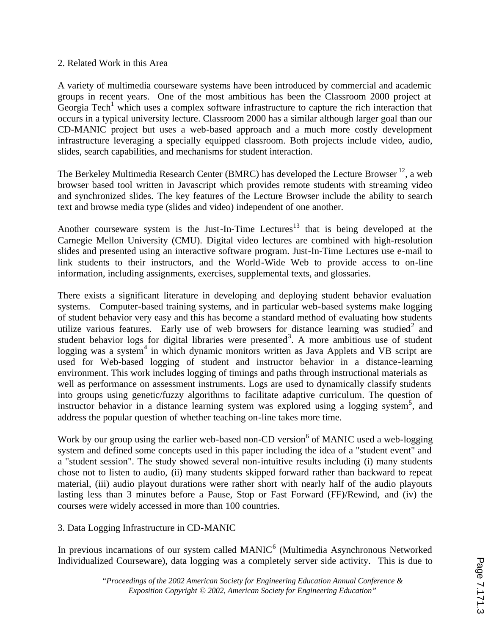### 2. Related Work in this Area

A variety of multimedia courseware systems have been introduced by commercial and academic groups in recent years. One of the most ambitious has been the Classroom 2000 project at Georgia Tech<sup>1</sup> which uses a complex software infrastructure to capture the rich interaction that occurs in a typical university lecture. Classroom 2000 has a similar although larger goal than our CD-MANIC project but uses a web-based approach and a much more costly development infrastructure leveraging a specially equipped classroom. Both projects include video, audio, slides, search capabilities, and mechanisms for student interaction.

The Berkeley Multimedia Research Center (BMRC) has developed the Lecture Browser<sup>12</sup>, a web browser based tool written in Javascript which provides remote students with streaming video and synchronized slides. The key features of the Lecture Browser include the ability to search text and browse media type (slides and video) independent of one another.

Another courseware system is the Just-In-Time Lectures<sup>13</sup> that is being developed at the Carnegie Mellon University (CMU). Digital video lectures are combined with high-resolution slides and presented using an interactive software program. Just-In-Time Lectures use e-mail to link students to their instructors, and the World-Wide Web to provide access to on-line information, including assignments, exercises, supplemental texts, and glossaries.

There exists a significant literature in developing and deploying student behavior evaluation systems. Computer-based training systems, and in particular web-based systems make logging of student behavior very easy and this has become a standard method of evaluating how students utilize various features. Early use of web browsers for distance learning was studied<sup>2</sup> and student behavior logs for digital libraries were presented<sup>3</sup>. A more ambitious use of student logging was a system<sup>4</sup> in which dynamic monitors written as Java Applets and VB script are used for Web-based logging of student and instructor behavior in a distance-learning environment. This work includes logging of timings and paths through instructional materials as well as performance on assessment instruments. Logs are used to dynamically classify students into groups using genetic/fuzzy algorithms to facilitate adaptive curriculum. The question of instructor behavior in a distance learning system was explored using a logging system<sup>5</sup>, and address the popular question of whether teaching on-line takes more time.

Work by our group using the earlier web-based non-CD version<sup>6</sup> of MANIC used a web-logging system and defined some concepts used in this paper including the idea of a "student event" and a "student session". The study showed several non-intuitive results including (i) many students chose not to listen to audio, (ii) many students skipped forward rather than backward to repeat material, (iii) audio playout durations were rather short with nearly half of the audio playouts lasting less than 3 minutes before a Pause, Stop or Fast Forward (FF)/Rewind, and (iv) the courses were widely accessed in more than 100 countries.

## 3. Data Logging Infrastructure in CD-MANIC

In previous incarnations of our system called  $MANIC<sup>6</sup>$  (Multimedia Asynchronous Networked Individualized Courseware), data logging was a completely server side activity. This is due to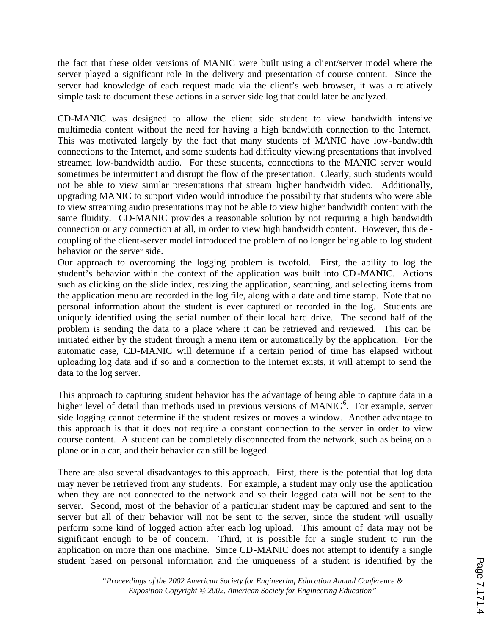the fact that these older versions of MANIC were built using a client/server model where the server played a significant role in the delivery and presentation of course content. Since the server had knowledge of each request made via the client's web browser, it was a relatively simple task to document these actions in a server side log that could later be analyzed.

CD-MANIC was designed to allow the client side student to view bandwidth intensive multimedia content without the need for having a high bandwidth connection to the Internet. This was motivated largely by the fact that many students of MANIC have low-bandwidth connections to the Internet, and some students had difficulty viewing presentations that involved streamed low-bandwidth audio. For these students, connections to the MANIC server would sometimes be intermittent and disrupt the flow of the presentation. Clearly, such students would not be able to view similar presentations that stream higher bandwidth video. Additionally, upgrading MANIC to support video would introduce the possibility that students who were able to view streaming audio presentations may not be able to view higher bandwidth content with the same fluidity. CD-MANIC provides a reasonable solution by not requiring a high bandwidth connection or any connection at all, in order to view high bandwidth content. However, this de coupling of the client-server model introduced the problem of no longer being able to log student behavior on the server side.

Our approach to overcoming the logging problem is twofold. First, the ability to log the student's behavior within the context of the application was built into CD-MANIC. Actions such as clicking on the slide index, resizing the application, searching, and sel ecting items from the application menu are recorded in the log file, along with a date and time stamp. Note that no personal information about the student is ever captured or recorded in the log. Students are uniquely identified using the serial number of their local hard drive. The second half of the problem is sending the data to a place where it can be retrieved and reviewed. This can be initiated either by the student through a menu item or automatically by the application. For the automatic case, CD-MANIC will determine if a certain period of time has elapsed without uploading log data and if so and a connection to the Internet exists, it will attempt to send the data to the log server.

This approach to capturing student behavior has the advantage of being able to capture data in a higher level of detail than methods used in previous versions of MANIC<sup>6</sup>. For example, server side logging cannot determine if the student resizes or moves a window. Another advantage to this approach is that it does not require a constant connection to the server in order to view course content. A student can be completely disconnected from the network, such as being on a plane or in a car, and their behavior can still be logged.

There are also several disadvantages to this approach. First, there is the potential that log data may never be retrieved from any students. For example, a student may only use the application when they are not connected to the network and so their logged data will not be sent to the server. Second, most of the behavior of a particular student may be captured and sent to the server but all of their behavior will not be sent to the server, since the student will usually perform some kind of logged action after each log upload. This amount of data may not be significant enough to be of concern. Third, it is possible for a single student to run the application on more than one machine. Since CD-MANIC does not attempt to identify a single student based on personal information and the uniqueness of a student is identified by the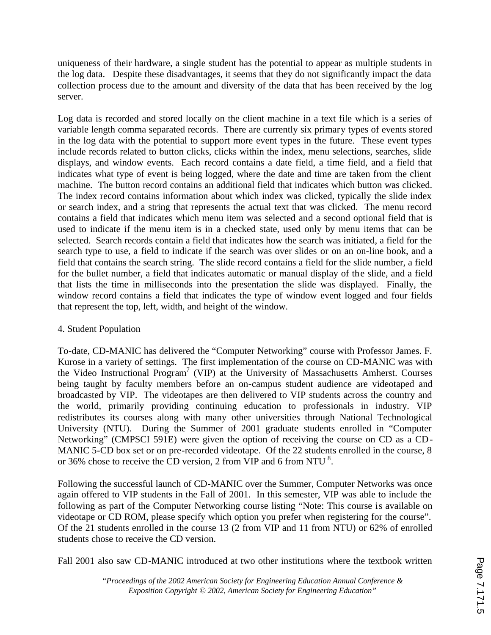uniqueness of their hardware, a single student has the potential to appear as multiple students in the log data. Despite these disadvantages, it seems that they do not significantly impact the data collection process due to the amount and diversity of the data that has been received by the log server.

Log data is recorded and stored locally on the client machine in a text file which is a series of variable length comma separated records. There are currently six primary types of events stored in the log data with the potential to support more event types in the future. These event types include records related to button clicks, clicks within the index, menu selections, searches, slide displays, and window events. Each record contains a date field, a time field, and a field that indicates what type of event is being logged, where the date and time are taken from the client machine. The button record contains an additional field that indicates which button was clicked. The index record contains information about which index was clicked, typically the slide index or search index, and a string that represents the actual text that was clicked. The menu record contains a field that indicates which menu item was selected and a second optional field that is used to indicate if the menu item is in a checked state, used only by menu items that can be selected. Search records contain a field that indicates how the search was initiated, a field for the search type to use, a field to indicate if the search was over slides or on an on-line book, and a field that contains the search string. The slide record contains a field for the slide number, a field for the bullet number, a field that indicates automatic or manual display of the slide, and a field that lists the time in milliseconds into the presentation the slide was displayed. Finally, the window record contains a field that indicates the type of window event logged and four fields that represent the top, left, width, and height of the window.

### 4. Student Population

To-date, CD-MANIC has delivered the "Computer Networking" course with Professor James. F. Kurose in a variety of settings. The first implementation of the course on CD-MANIC was with the Video Instructional Program<sup>7</sup> (VIP) at the University of Massachusetts Amherst. Courses being taught by faculty members before an on-campus student audience are videotaped and broadcasted by VIP. The videotapes are then delivered to VIP students across the country and the world, primarily providing continuing education to professionals in industry. VIP redistributes its courses along with many other universities through National Technological University (NTU). During the Summer of 2001 graduate students enrolled in "Computer Networking" (CMPSCI 591E) were given the option of receiving the course on CD as a CD-MANIC 5-CD box set or on pre-recorded videotape. Of the 22 students enrolled in the course, 8 or 36% chose to receive the CD version, 2 from VIP and 6 from NTU<sup>8</sup>.

Following the successful launch of CD-MANIC over the Summer, Computer Networks was once again offered to VIP students in the Fall of 2001. In this semester, VIP was able to include the following as part of the Computer Networking course listing "Note: This course is available on videotape or CD ROM, please specify which option you prefer when registering for the course". Of the 21 students enrolled in the course 13 (2 from VIP and 11 from NTU) or 62% of enrolled students chose to receive the CD version.

Fall 2001 also saw CD-MANIC introduced at two other institutions where the textbook written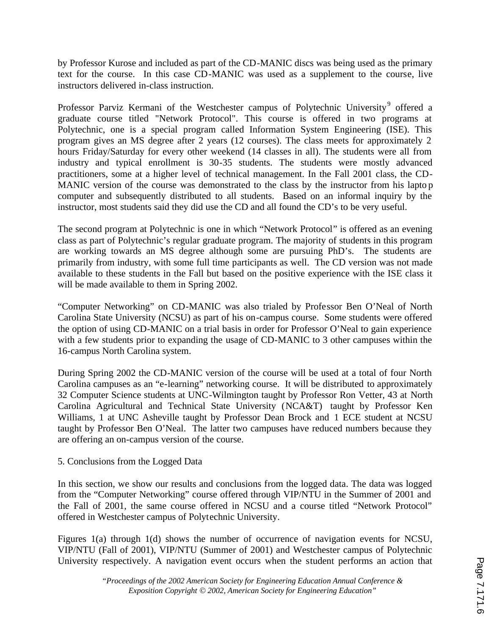by Professor Kurose and included as part of the CD-MANIC discs was being used as the primary text for the course. In this case CD-MANIC was used as a supplement to the course, live instructors delivered in-class instruction.

Professor Parviz Kermani of the Westchester campus of Polytechnic University<sup>9</sup> offered a graduate course titled "Network Protocol". This course is offered in two programs at Polytechnic, one is a special program called Information System Engineering (ISE). This program gives an MS degree after 2 years (12 courses). The class meets for approximately 2 hours Friday/Saturday for every other weekend (14 classes in all). The students were all from industry and typical enrollment is 30-35 students. The students were mostly advanced practitioners, some at a higher level of technical management. In the Fall 2001 class, the CD-MANIC version of the course was demonstrated to the class by the instructor from his lapto p computer and subsequently distributed to all students. Based on an informal inquiry by the instructor, most students said they did use the CD and all found the CD's to be very useful.

The second program at Polytechnic is one in which "Network Protocol" is offered as an evening class as part of Polytechnic's regular graduate program. The majority of students in this program are working towards an MS degree although some are pursuing PhD's. The students are primarily from industry, with some full time participants as well. The CD version was not made available to these students in the Fall but based on the positive experience with the ISE class it will be made available to them in Spring 2002.

"Computer Networking" on CD-MANIC was also trialed by Professor Ben O'Neal of North Carolina State University (NCSU) as part of his on-campus course. Some students were offered the option of using CD-MANIC on a trial basis in order for Professor O'Neal to gain experience with a few students prior to expanding the usage of CD-MANIC to 3 other campuses within the 16-campus North Carolina system.

During Spring 2002 the CD-MANIC version of the course will be used at a total of four North Carolina campuses as an "e-learning" networking course. It will be distributed to approximately 32 Computer Science students at UNC-Wilmington taught by Professor Ron Vetter, 43 at North Carolina Agricultural and Technical State University (NCA&T) taught by Professor Ken Williams, 1 at UNC Asheville taught by Professor Dean Brock and 1 ECE student at NCSU taught by Professor Ben O'Neal. The latter two campuses have reduced numbers because they are offering an on-campus version of the course.

## 5. Conclusions from the Logged Data

In this section, we show our results and conclusions from the logged data. The data was logged from the "Computer Networking" course offered through VIP/NTU in the Summer of 2001 and the Fall of 2001, the same course offered in NCSU and a course titled "Network Protocol" offered in Westchester campus of Polytechnic University.

Figures 1(a) through 1(d) shows the number of occurrence of navigation events for NCSU, VIP/NTU (Fall of 2001), VIP/NTU (Summer of 2001) and Westchester campus of Polytechnic University respectively. A navigation event occurs when the student performs an action that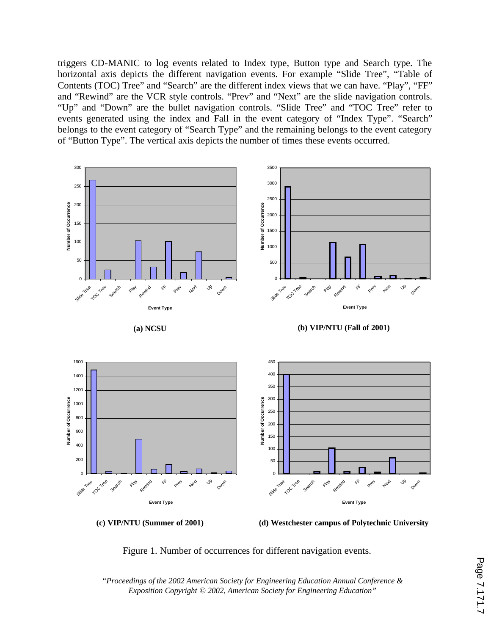triggers CD-MANIC to log events related to Index type, Button type and Search type. The horizontal axis depicts the different navigation events. For example "Slide Tree", "Table of Contents (TOC) Tree" and "Search" are the different index views that we can have. "Play", "FF" and "Rewind" are the VCR style controls. "Prev" and "Next" are the slide navigation controls. "Up" and "Down" are the bullet navigation controls. "Slide Tree" and "TOC Tree" refer to events generated using the index and Fall in the event category of "Index Type". "Search" belongs to the event category of "Search Type" and the remaining belongs to the event category of "Button Type". The vertical axis depicts the number of times these events occurred.







Figure 1. Number of occurrences for different navigation events.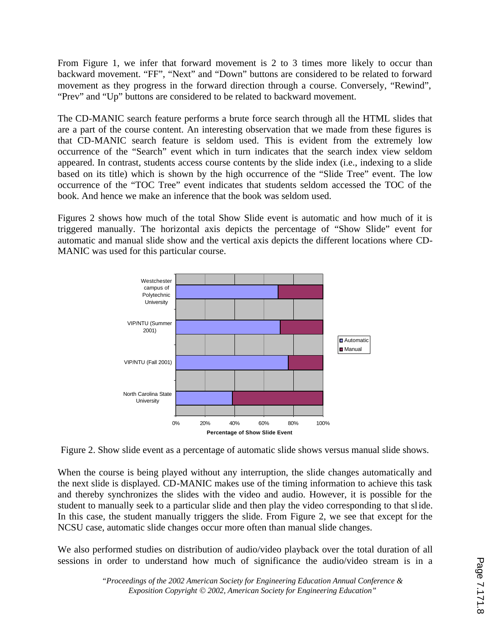From Figure 1, we infer that forward movement is 2 to 3 times more likely to occur than backward movement. "FF", "Next" and "Down" buttons are considered to be related to forward movement as they progress in the forward direction through a course. Conversely, "Rewind", "Prev" and "Up" buttons are considered to be related to backward movement.

The CD-MANIC search feature performs a brute force search through all the HTML slides that are a part of the course content. An interesting observation that we made from these figures is that CD-MANIC search feature is seldom used. This is evident from the extremely low occurrence of the "Search" event which in turn indicates that the search index view seldom appeared. In contrast, students access course contents by the slide index (i.e., indexing to a slide based on its title) which is shown by the high occurrence of the "Slide Tree" event. The low occurrence of the "TOC Tree" event indicates that students seldom accessed the TOC of the book. And hence we make an inference that the book was seldom used.

Figures 2 shows how much of the total Show Slide event is automatic and how much of it is triggered manually. The horizontal axis depicts the percentage of "Show Slide" event for automatic and manual slide show and the vertical axis depicts the different locations where CD-MANIC was used for this particular course.



Figure 2. Show slide event as a percentage of automatic slide shows versus manual slide shows.

When the course is being played without any interruption, the slide changes automatically and the next slide is displayed. CD-MANIC makes use of the timing information to achieve this task and thereby synchronizes the slides with the video and audio. However, it is possible for the student to manually seek to a particular slide and then play the video corresponding to that slide. In this case, the student manually triggers the slide. From Figure 2, we see that except for the NCSU case, automatic slide changes occur more often than manual slide changes.

We also performed studies on distribution of audio/video playback over the total duration of all sessions in order to understand how much of significance the audio/video stream is in a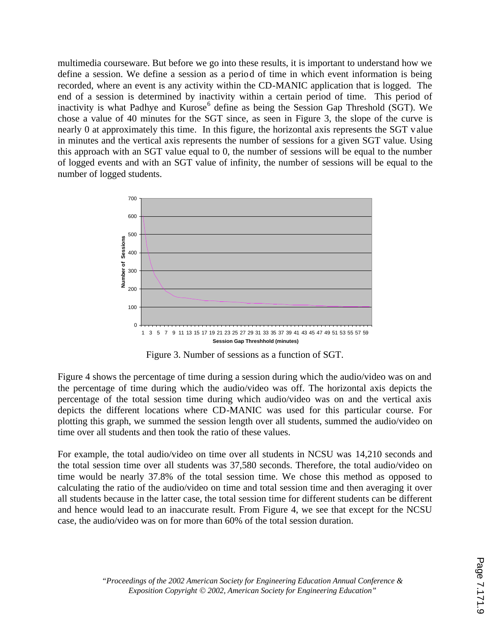multimedia courseware. But before we go into these results, it is important to understand how we define a session. We define a session as a period of time in which event information is being recorded, where an event is any activity within the CD-MANIC application that is logged. The end of a session is determined by inactivity within a certain period of time. This period of inactivity is what Padhye and Kurose<sup>6</sup> define as being the Session Gap Threshold (SGT). We chose a value of 40 minutes for the SGT since, as seen in Figure 3, the slope of the curve is nearly 0 at approximately this time. In this figure, the horizontal axis represents the SGT value in minutes and the vertical axis represents the number of sessions for a given SGT value. Using this approach with an SGT value equal to 0, the number of sessions will be equal to the number of logged events and with an SGT value of infinity, the number of sessions will be equal to the number of logged students.



Figure 3. Number of sessions as a function of SGT.

Figure 4 shows the percentage of time during a session during which the audio/video was on and the percentage of time during which the audio/video was off. The horizontal axis depicts the percentage of the total session time during which audio/video was on and the vertical axis depicts the different locations where CD-MANIC was used for this particular course. For plotting this graph, we summed the session length over all students, summed the audio/video on time over all students and then took the ratio of these values.

For example, the total audio/video on time over all students in NCSU was 14,210 seconds and the total session time over all students was 37,580 seconds. Therefore, the total audio/video on time would be nearly 37.8% of the total session time. We chose this method as opposed to calculating the ratio of the audio/video on time and total session time and then averaging it over all students because in the latter case, the total session time for different students can be different and hence would lead to an inaccurate result. From Figure 4, we see that except for the NCSU case, the audio/video was on for more than 60% of the total session duration.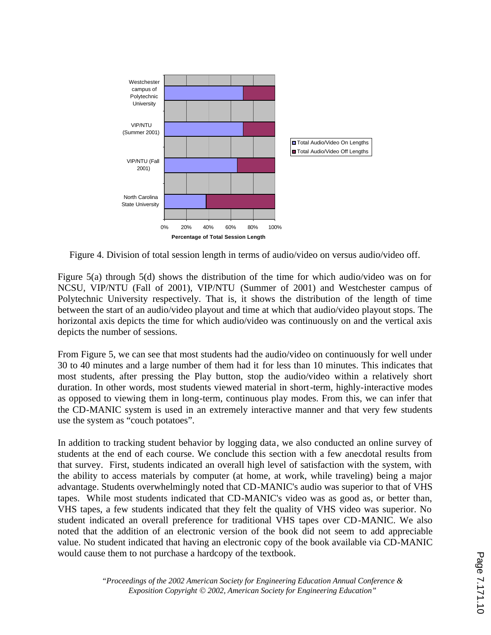

Figure 4. Division of total session length in terms of audio/video on versus audio/video off.

Figure 5(a) through 5(d) shows the distribution of the time for which audio/video was on for NCSU, VIP/NTU (Fall of 2001), VIP/NTU (Summer of 2001) and Westchester campus of Polytechnic University respectively. That is, it shows the distribution of the length of time between the start of an audio/video playout and time at which that audio/video playout stops. The horizontal axis depicts the time for which audio/video was continuously on and the vertical axis depicts the number of sessions.

From Figure 5, we can see that most students had the audio/video on continuously for well under 30 to 40 minutes and a large number of them had it for less than 10 minutes. This indicates that most students, after pressing the Play button, stop the audio/video within a relatively short duration. In other words, most students viewed material in short-term, highly-interactive modes as opposed to viewing them in long-term, continuous play modes. From this, we can infer that the CD-MANIC system is used in an extremely interactive manner and that very few students use the system as "couch potatoes".

In addition to tracking student behavior by logging data, we also conducted an online survey of students at the end of each course. We conclude this section with a few anecdotal results from that survey. First, students indicated an overall high level of satisfaction with the system, with the ability to access materials by computer (at home, at work, while traveling) being a major advantage. Students overwhelmingly noted that CD-MANIC's audio was superior to that of VHS tapes. While most students indicated that CD-MANIC's video was as good as, or better than, VHS tapes, a few students indicated that they felt the quality of VHS video was superior. No student indicated an overall preference for traditional VHS tapes over CD-MANIC. We also noted that the addition of an electronic version of the book did not seem to add appreciable value. No student indicated that having an electronic copy of the book available via CD-MANIC would cause them to not purchase a hardcopy of the textbook.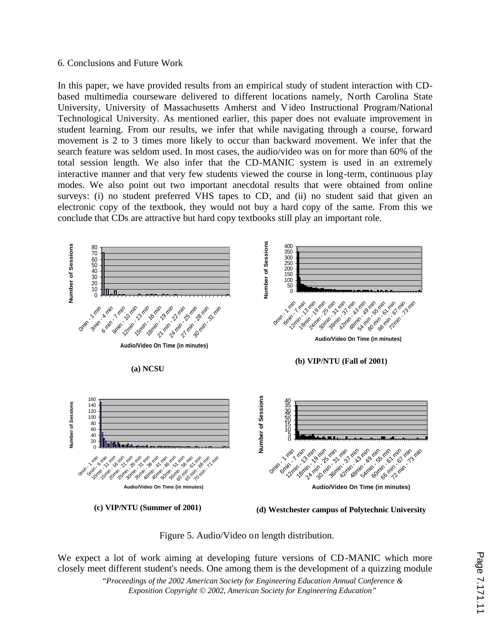#### 6. Conclusions and Future Work

In this paper, we have provided results from an empirical study of student interaction with CDbased multimedia courseware delivered to different locations namely, North Carolina State University, University of Massachusetts Amherst and Video Instructional Program/National Technological University. As mentioned earlier, this paper does not evaluate improvement in student learning. From our results, we infer that while navigating through a course, forward movement is 2 to 3 times more likely to occur than backward movement. We infer that the search feature was seldom used. In most cases, the audio/video was on for more than 60% of the total session length. We also infer that the CD-MANIC system is used in an extremely interactive manner and that very few students viewed the course in long-term, continuous play modes. We also point out two important anecdotal results that were obtained from online surveys: (i) no student preferred VHS tapes to CD, and (ii) no student said that given an electronic copy of the textbook, they would not buy a hard copy of the same. From this we conclude that CDs are attractive but hard copy textbooks still play an important role.



Figure 5. Audio/Video on length distribution.

We expect a lot of work aiming at developing future versions of CD-MANIC which more closely meet different student's needs. One among them is the development of a quizzing module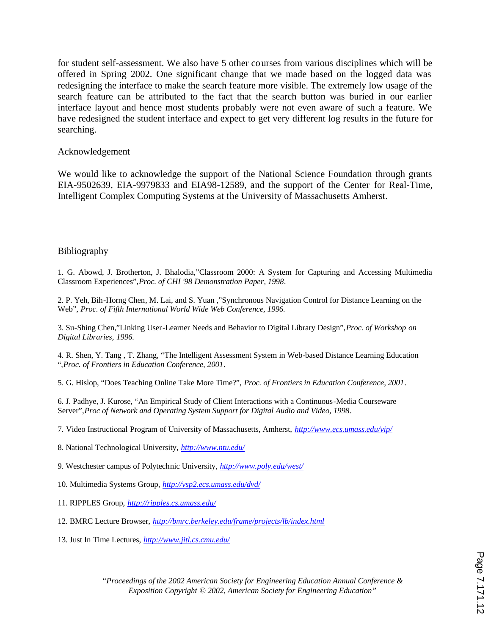for student self-assessment. We also have 5 other courses from various disciplines which will be offered in Spring 2002. One significant change that we made based on the logged data was redesigning the interface to make the search feature more visible. The extremely low usage of the search feature can be attributed to the fact that the search button was buried in our earlier interface layout and hence most students probably were not even aware of such a feature. We have redesigned the student interface and expect to get very different log results in the future for searching.

### Acknowledgement

We would like to acknowledge the support of the National Science Foundation through grants EIA-9502639, EIA-9979833 and EIA98-12589, and the support of the Center for Real-Time, Intelligent Complex Computing Systems at the University of Massachusetts Amherst.

### Bibliography

1. G. Abowd, J. Brotherton, J. Bhalodia,"Classroom 2000: A System for Capturing and Accessing Multimedia Classroom Experiences",*Proc. of CHI '98 Demonstration Paper, 1998*.

2. P. Yeh, Bih-Horng Chen, M. Lai, and S. Yuan ,"Synchronous Navigation Control for Distance Learning on the Web", *Proc. of Fifth International World Wide Web Conference, 1996.*

3. Su-Shing Chen,"Linking User-Learner Needs and Behavior to Digital Library Design",*Proc. of Workshop on Digital Libraries, 1996.*

4. R. Shen, Y. Tang , T. Zhang, "The Intelligent Assessment System in Web-based Distance Learning Education ",*Proc. of Frontiers in Education Conference, 2001*.

5. G. Hislop, "Does Teaching Online Take More Time?", *Proc. of Frontiers in Education Conference, 2001*.

6. J. Padhye, J. Kurose, "An Empirical Study of Client Interactions with a Continuous-Media Courseware Server",*Proc of Network and Operating System Support for Digital Audio and Video, 1998*.

7. Video Instructional Program of University of Massachusetts, Amherst, *http://www.ecs.umass.edu/vip/*

8. National Technological University, *http://www.ntu.edu/*

9. Westchester campus of Polytechnic University, *http://www.poly.edu/west/*

10. Multimedia Systems Group, *http://vsp2.ecs.umass.edu/dvd/*

11. RIPPLES Group, *http://ripples.cs.umass.edu/*

12. BMRC Lecture Browser, *http://bmrc.berkeley.edu/frame/projects/lb/index.html*

13. Just In Time Lectures, *http://www.jitl.cs.cmu.edu/*

Page 7.171.12 Page 7.171.12